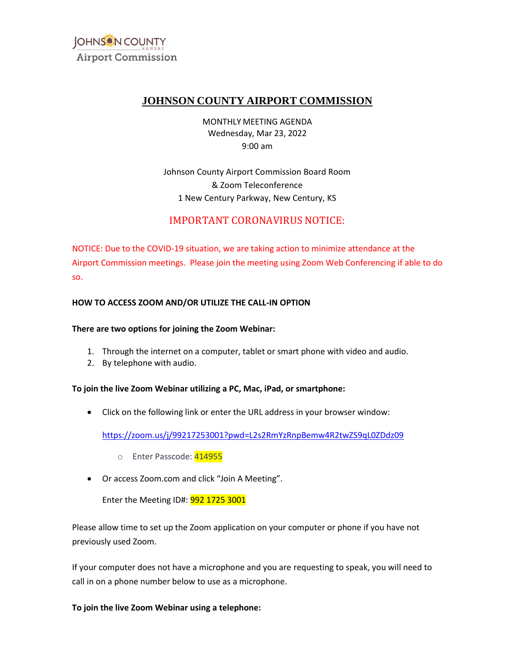

# **JOHNSON COUNTY AIRPORT COMMISSION**

MONTHLY MEETING AGENDA Wednesday, Mar 23, 2022 9:00 am

Johnson County Airport Commission Board Room & Zoom Teleconference 1 New Century Parkway, New Century, KS

# IMPORTANT CORONAVIRUS NOTICE:

NOTICE: Due to the COVID-19 situation, we are taking action to minimize attendance at the Airport Commission meetings. Please join the meeting using Zoom Web Conferencing if able to do so.

# **HOW TO ACCESS ZOOM AND/OR UTILIZE THE CALL-IN OPTION**

#### **There are two options for joining the Zoom Webinar:**

- 1. Through the internet on a computer, tablet or smart phone with video and audio.
- 2. By telephone with audio.

#### **To join the live Zoom Webinar utilizing a PC, Mac, iPad, or smartphone:**

• Click on the following link or enter the URL address in your browser window:

<https://zoom.us/j/99217253001?pwd=L2s2RmYzRnpBemw4R2twZS9qL0ZDdz09>

- o Enter Passcode: <mark>414955</mark>
- <mark>72530</mark><br>4149<br>d click • Or access [Zoom.com](https://Zoom.com) and click "Join A Meeting".

Enter the Meeting ID#: 992 1725 3001

Please allow time to set up the Zoom application on your computer or phone if you have not previously used Zoom.

If your computer does not have a microphone and you are requesting to speak, you will need to call in on a phone number below to use as a microphone.

**To join the live Zoom Webinar using a telephone:**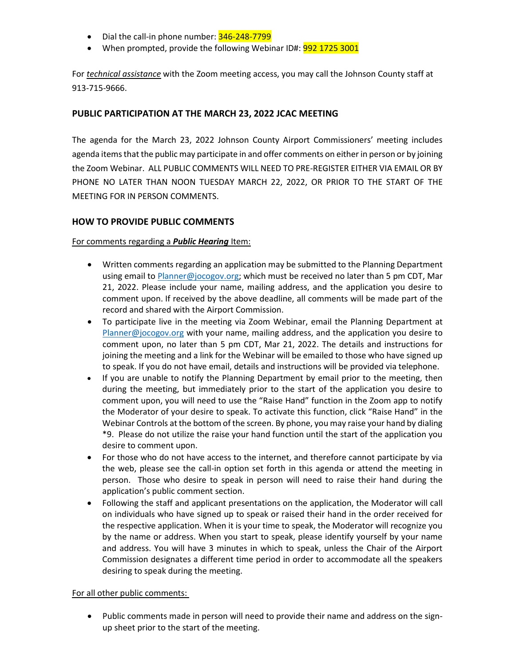- Dial the call-in phone number: 346-248-7799
- When prompted, provide the following Webinar ID#: 992 1725 3001

For *technical assistance* with the Zoom meeting access, you may call the Johnson County staff at 913-715-9666.

# **PUBLIC PARTICIPATION AT THE MARCH 23, 2022 JCAC MEETING**

 The agenda for the March 23, 2022 Johnson County Airport Commissioners' meeting includes agenda items that the public may participate in and offer comments on either in person or by joining the Zoom Webinar. ALL PUBLIC COMMENTS WILL NEED TO PRE-REGISTER EITHER VIA EMAIL OR BY PHONE NO LATER THAN NOON TUESDAY MARCH 22, 2022, OR PRIOR TO THE START OF THE MEETING FOR IN PERSON COMMENTS.

# **HOW TO PROVIDE PUBLIC COMMENTS**

# For comments regarding a *Public Hearing* Item:

- Written comments regarding an application may be submitted to the Planning Department using email to [Planner@jocogov.org;](mailto:Planner@jocogov.org) which must be received no later than 5 pm CDT, Mar 21, 2022. Please include your name, mailing address, and the application you desire to comment upon. If received by the above deadline, all comments will be made part of the record and shared with the Airport Commission.
- To participate live in the meeting via Zoom Webinar, email the Planning Department at [Planner@jocogov.org](mailto:Planner@jocogov.org) with your name, mailing address, and the application you desire to comment upon, no later than 5 pm CDT, Mar 21, 2022. The details and instructions for joining the meeting and a link for the Webinar will be emailed to those who have signed up to speak. If you do not have email, details and instructions will be provided via telephone.
- comment upon, you will need to use the "Raise Hand" function in the Zoom app to notify the Moderator of your desire to speak. To activate this function, click "Raise Hand" in the • If you are unable to notify the Planning Department by email prior to the meeting, then during the meeting, but immediately prior to the start of the application you desire to Webinar Controls at the bottom of the screen. By phone, you may raise your hand by dialing \*9. Please do not utilize the raise your hand function until the start of the application you desire to comment upon.
- For those who do not have access to the internet, and therefore cannot participate by via the web, please see the call-in option set forth in this agenda or attend the meeting in person. Those who desire to speak in person will need to raise their hand during the application's public comment section.
- Following the staff and applicant presentations on the application, the Moderator will call on individuals who have signed up to speak or raised their hand in the order received for the respective application. When it is your time to speak, the Moderator will recognize you by the name or address. When you start to speak, please identify yourself by your name and address. You will have 3 minutes in which to speak, unless the Chair of the Airport Commission designates a different time period in order to accommodate all the speakers desiring to speak during the meeting.

#### For all other public comments:

• Public comments made in person will need to provide their name and address on the signup sheet prior to the start of the meeting.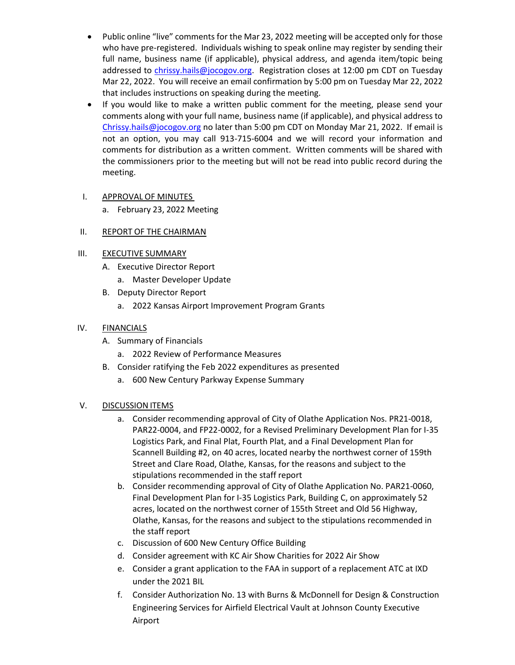- Public online "live" comments for the Mar 23, 2022 meeting will be accepted only for those who have pre-registered. Individuals wishing to speak online may register by sending their full name, business name (if applicable), physical address, and agenda item/topic being addressed to [chrissy.hails@jocogov.org.](mailto:chrissy.hails@jocogov.org) Registration closes at 12:00 pm CDT on Tuesday Mar 22, 2022. You will receive an email confirmation by 5:00 pm on Tuesday Mar 22, 2022 that includes instructions on speaking during the meeting.
- If you would like to make a written public comment for the meeting, please send your comments along with your full name, business name (if applicable), and physical address to [Chrissy.hails@jocogov.org](mailto:Chrissy.hails@jocogov.org) no later than 5:00 pm CDT on Monday Mar 21, 2022. If email is not an option, you may call 913-715-6004 and we will record your information and comments for distribution as a written comment. Written comments will be shared with the commissioners prior to the meeting but will not be read into public record during the meeting.

# I. APPROVAL OF MINUTES

a. February 23, 2022 Meeting

# II. REPORT OF THE CHAIRMAN

# III. EXECUTIVE SUMMARY

- A. Executive Director Report
	- a. Master Developer Update
- B. Deputy Director Report
	- a. 2022 Kansas Airport Improvement Program Grants

### IV. FINANCIALS

- A. Summary of Financials
	- a. 2022 Review of Performance Measures
- B. Consider ratifying the Feb 2022 expenditures as presented
	- a. 600 New Century Parkway Expense Summary

#### V. DISCUSSION ITEMS

- a. Consider recommending approval of City of Olathe Application Nos. PR21-0018, PAR22-0004, and FP22-0002, for a Revised Preliminary Development Plan for I-35 Logistics Park, and Final Plat, Fourth Plat, and a Final Development Plan for Scannell Building #2, on 40 acres, located nearby the northwest corner of 159th Street and Clare Road, Olathe, Kansas, for the reasons and subject to the stipulations recommended in the staff report
- b. Consider recommending approval of City of Olathe Application No. PAR21-0060, Final Development Plan for I-35 Logistics Park, Building C, on approximately 52 acres, located on the northwest corner of 155th Street and Old 56 Highway, Olathe, Kansas, for the reasons and subject to the stipulations recommended in the staff report
- c. Discussion of 600 New Century Office Building
- d. Consider agreement with KC Air Show Charities for 2022 Air Show
- e. Consider a grant application to the FAA in support of a replacement ATC at IXD under the 2021 BIL
- f. Consider Authorization No. 13 with Burns & McDonnell for Design & Construction Engineering Services for Airfield Electrical Vault at Johnson County Executive Airport